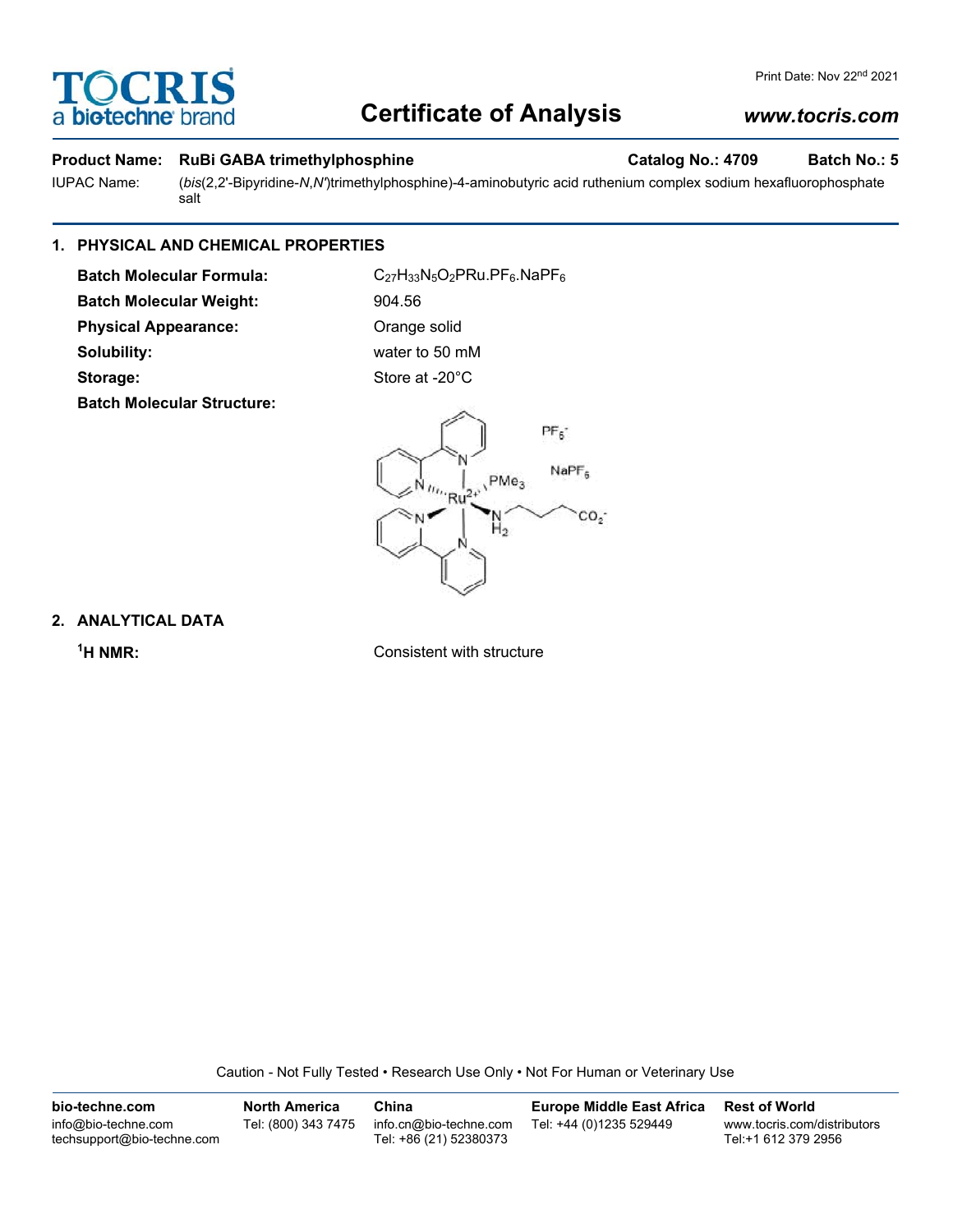# **TOCRIS** a **biotechne** bi

# **Certificate of Analysis**

## **Product Name: RuBi GABA trimethylphosphine Catalog No.: 4709 Batch No.: 5**

IUPAC Name: (*bis*(2,2'-Bipyridine-*N*,*N'*)trimethylphosphine)-4-aminobutyric acid ruthenium complex sodium hexafluorophosphate salt

# **1. PHYSICAL AND CHEMICAL PROPERTIES**

**Batch Molecular Formula:** C<sub>27</sub>H<sub>33</sub>N<sub>5</sub>O<sub>2</sub>PRu.PF<sub>6</sub>.NaPF<sub>6</sub> **Batch Molecular Weight:** 904.56 **Physical Appearance:** Orange solid **Solubility:** water to 50 mM **Storage:** Store at -20°C **Batch Molecular Structure:**



# **2. ANALYTICAL DATA**

 $<sup>1</sup>H NMR$ :</sup>

**Consistent with structure** 

Caution - Not Fully Tested • Research Use Only • Not For Human or Veterinary Use

**bio-techne.com** info@bio-techne.com techsupport@bio-techne.com **North America** Tel: (800) 343 7475 **China** info.cn@bio-techne.com Tel: +86 (21) 52380373 **Europe Middle East Africa** Tel: +44 (0)1235 529449 **Rest of World** www.tocris.com/distributors Tel:+1 612 379 2956

# *www.tocris.com*

Print Date: Nov 22<sup>nd</sup> 2021